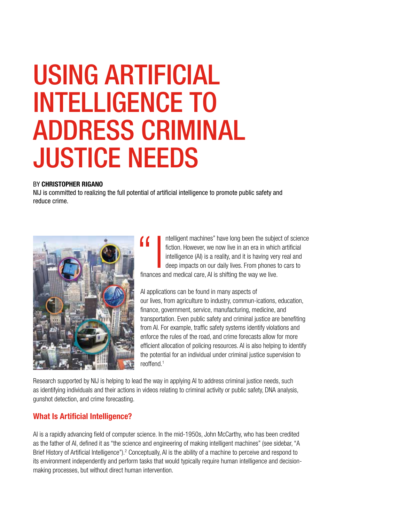# USING ARTIFICIAL INTELLIGENCE TO ADDRESS CRIMINAL JUSTICE NEEDS

# BY CHRISTOPHER RIGANO

NIJ is committed to realizing the full potential of artificial intelligence to promote public safety and reduce crime.



**10** I ntelligent machines" have long been the subject of science fiction. However, we now live in an era in which artificial intelligence (AI) is a reality, and it is having very real and deep impacts on our daily lives. fiction. However, we now live in an era in which artificial intelligence (Al) is a reality, and it is having very real and deep impacts on our daily lives. From phones to cars to finances and medical care, AI is shifting the way we live.

AI applications can be found in many aspects of our lives, from agriculture to industry, commun-ications, education, finance, government, service, manufacturing, medicine, and transportation. Even public safety and criminal justice are benefiting from AI. For example, traffic safety systems identify violations and enforce the rules of the road, and crime forecasts allow for more efficient allocation of policing resources. AI is also helping to identify the potential for an individual under criminal justice supervision to reoffend.1

Research supported by NIJ is helping to lead the way in applying AI to address criminal justice needs, such as identifying individuals and their actions in videos relating to criminal activity or public safety, DNA analysis, gunshot detection, and crime forecasting.

# What Is Artificial Intelligence?

AI is a rapidly advancing field of computer science. In the mid-1950s, John McCarthy, who has been credited as the father of AI, defined it as "the science and engineering of making intelligent machines" (see sidebar, "A Brief History of Artificial Intelligence").<sup>2</sup> Conceptually, AI is the ability of a machine to perceive and respond to its environment independently and perform tasks that would typically require human intelligence and decisionmaking processes, but without direct human intervention.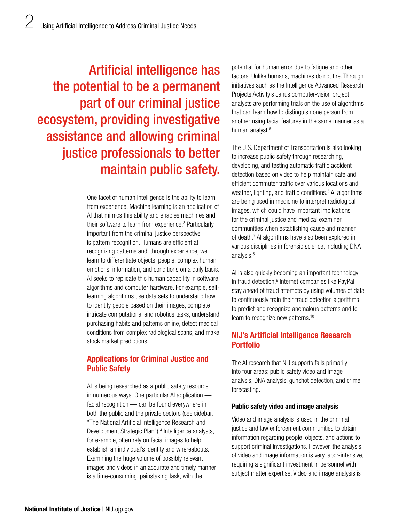Artificial intelligence has the potential to be a permanent part of our criminal justice ecosystem, providing investigative assistance and allowing criminal justice professionals to better maintain public safety.

> One facet of human intelligence is the ability to learn from experience. Machine learning is an application of AI that mimics this ability and enables machines and their software to learn from experience.3 Particularly important from the criminal justice perspective is pattern recognition. Humans are efficient at recognizing patterns and, through experience, we learn to differentiate objects, people, complex human emotions, information, and conditions on a daily basis. AI seeks to replicate this human capability in software algorithms and computer hardware. For example, selflearning algorithms use data sets to understand how to identify people based on their images, complete intricate computational and robotics tasks, understand purchasing habits and patterns online, detect medical conditions from complex radiological scans, and make stock market predictions.

# Applications for Criminal Justice and Public Safety

AI is being researched as a public safety resource in numerous ways. One particular AI application facial recognition — can be found everywhere in both the public and the private sectors (see sidebar, "The National Artificial Intelligence Research and Development Strategic Plan").<sup>4</sup> Intelligence analysts, for example, often rely on facial images to help establish an individual's identity and whereabouts. Examining the huge volume of possibly relevant images and videos in an accurate and timely manner is a time-consuming, painstaking task, with the

potential for human error due to fatigue and other factors. Unlike humans, machines do not tire. Through initiatives such as the Intelligence Advanced Research Projects Activity's Janus computer-vision project, analysts are performing trials on the use of algorithms that can learn how to distinguish one person from another using facial features in the same manner as a human analyst.<sup>5</sup>

The U.S. Department of Transportation is also looking to increase public safety through researching, developing, and testing automatic traffic accident detection based on video to help maintain safe and efficient commuter traffic over various locations and weather, lighting, and traffic conditions.<sup>6</sup> AI algorithms are being used in medicine to interpret radiological images, which could have important implications for the criminal justice and medical examiner communities when establishing cause and manner of death.7 AI algorithms have also been explored in various disciplines in forensic science, including DNA analysis.<sup>8</sup>

AI is also quickly becoming an important technology in fraud detection.<sup>9</sup> Internet companies like PayPal stay ahead of fraud attempts by using volumes of data to continuously train their fraud detection algorithms to predict and recognize anomalous patterns and to learn to recognize new patterns.<sup>10</sup>

# NIJ's Artificial Intelligence Research Portfolio

The AI research that NIJ supports falls primarily into four areas: public safety video and image analysis, DNA analysis, gunshot detection, and crime forecasting.

#### Public safety video and image analysis

Video and image analysis is used in the criminal justice and law enforcement communities to obtain information regarding people, objects, and actions to support criminal investigations. However, the analysis of video and image information is very labor-intensive, requiring a significant investment in personnel with subject matter expertise. Video and image analysis is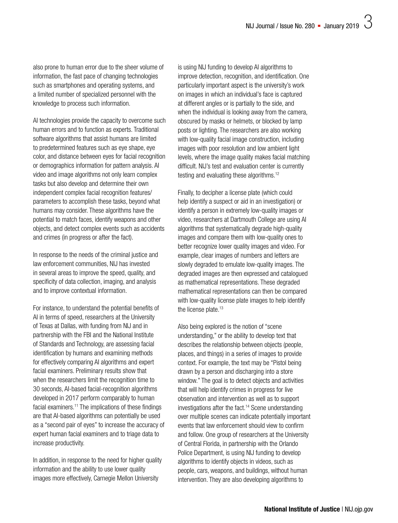also prone to human error due to the sheer volume of information, the fast pace of changing technologies such as smartphones and operating systems, and a limited number of specialized personnel with the knowledge to process such information.

AI technologies provide the capacity to overcome such human errors and to function as experts. Traditional software algorithms that assist humans are limited to predetermined features such as eye shape, eye color, and distance between eyes for facial recognition or demographics information for pattern analysis. AI video and image algorithms not only learn complex tasks but also develop and determine their own independent complex facial recognition features/ parameters to accomplish these tasks, beyond what humans may consider. These algorithms have the potential to match faces, identify weapons and other objects, and detect complex events such as accidents and crimes (in progress or after the fact).

In response to the needs of the criminal justice and law enforcement communities, NIJ has invested in several areas to improve the speed, quality, and specificity of data collection, imaging, and analysis and to improve contextual information.

For instance, to understand the potential benefits of AI in terms of speed, researchers at the University of Texas at Dallas, with funding from NIJ and in partnership with the FBI and the National Institute of Standards and Technology, are assessing facial identification by humans and examining methods for effectively comparing AI algorithms and expert facial examiners. Preliminary results show that when the researchers limit the recognition time to 30 seconds, AI-based facial-recognition algorithms developed in 2017 perform comparably to human facial examiners.<sup>11</sup> The implications of these findings are that AI-based algorithms can potentially be used as a "second pair of eyes" to increase the accuracy of expert human facial examiners and to triage data to increase productivity.

In addition, in response to the need for higher quality information and the ability to use lower quality images more effectively, Carnegie Mellon University

is using NIJ funding to develop AI algorithms to improve detection, recognition, and identification. One particularly important aspect is the university's work on images in which an individual's face is captured at different angles or is partially to the side, and when the individual is looking away from the camera, obscured by masks or helmets, or blocked by lamp posts or lighting. The researchers are also working with low-quality facial image construction, including images with poor resolution and low ambient light levels, where the image quality makes facial matching difficult. NIJ's test and evaluation center is currently testing and evaluating these algorithms.<sup>12</sup>

Finally, to decipher a license plate (which could help identify a suspect or aid in an investigation) or identify a person in extremely low-quality images or video, researchers at Dartmouth College are using AI algorithms that systematically degrade high-quality images and compare them with low-quality ones to better recognize lower quality images and video. For example, clear images of numbers and letters are slowly degraded to emulate low-quality images. The degraded images are then expressed and catalogued as mathematical representations. These degraded mathematical representations can then be compared with low-quality license plate images to help identify the license plate.<sup>13</sup>

Also being explored is the notion of "scene understanding," or the ability to develop text that describes the relationship between objects (people, places, and things) in a series of images to provide context. For example, the text may be "Pistol being drawn by a person and discharging into a store window." The goal is to detect objects and activities that will help identify crimes in progress for live observation and intervention as well as to support investigations after the fact.14 Scene understanding over multiple scenes can indicate potentially important events that law enforcement should view to confirm and follow. One group of researchers at the University of Central Florida, in partnership with the Orlando Police Department, is using NIJ funding to develop algorithms to identify objects in videos, such as people, cars, weapons, and buildings, without human intervention. They are also developing algorithms to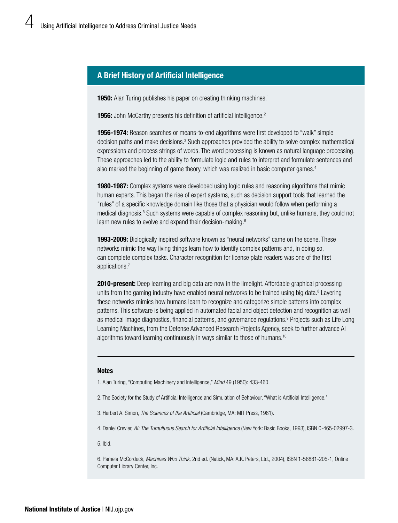# A Brief History of Artificial Intelligence

**1950:** Alan Turing publishes his paper on creating thinking machines.<sup>1</sup>

1956: John McCarthy presents his definition of artificial intelligence.<sup>2</sup>

1956-1974: Reason searches or means-to-end algorithms were first developed to "walk" simple decision paths and make decisions.<sup>3</sup> Such approaches provided the ability to solve complex mathematical expressions and process strings of words. The word processing is known as natural language processing. These approaches led to the ability to formulate logic and rules to interpret and formulate sentences and also marked the beginning of game theory, which was realized in basic computer games.<sup>4</sup>

**1980-1987:** Complex systems were developed using logic rules and reasoning algorithms that mimic human experts. This began the rise of expert systems, such as decision support tools that learned the "rules" of a specific knowledge domain like those that a physician would follow when performing a medical diagnosis.<sup>5</sup> Such systems were capable of complex reasoning but, unlike humans, they could not learn new rules to evolve and expand their decision-making.<sup>6</sup>

**1993-2009:** Biologically inspired software known as "neural networks" came on the scene. These networks mimic the way living things learn how to identify complex patterns and, in doing so, can complete complex tasks. Character recognition for license plate readers was one of the first applications.7

**2010-present:** Deep learning and big data are now in the limelight. Affordable graphical processing units from the gaming industry have enabled neural networks to be trained using big data.<sup>8</sup> Layering these networks mimics how humans learn to recognize and categorize simple patterns into complex patterns. This software is being applied in automated facial and object detection and recognition as well as medical image diagnostics, financial patterns, and governance regulations.<sup>9</sup> Projects such as Life Long Learning Machines, from the Defense Advanced Research Projects Agency, seek to further advance AI algorithms toward learning continuously in ways similar to those of humans.10

#### **Notes**

1. Alan Turing, "Computing Machinery and Intelligence," *Mind* 49 (1950): 433-460.

- 2. The Society for the Study of Artificial Intelligence and Simulation of Behaviour, "What is Artificial Intelligence."
- 3. Herbert A. Simon, *The Sciences of the Artificial* (Cambridge, MA: MIT Press, 1981).

4. Daniel Crevier, *AI: The Tumultuous Search for Artificial Intelligence* (New York: Basic Books, 1993), ISBN 0-465-02997-3.

5. Ibid.

6. Pamela McCorduck, *Machines Who Think,* 2nd ed. (Natick, MA: A.K. Peters, Ltd., 2004), ISBN 1-56881-205-1, Online Computer Library Center, Inc.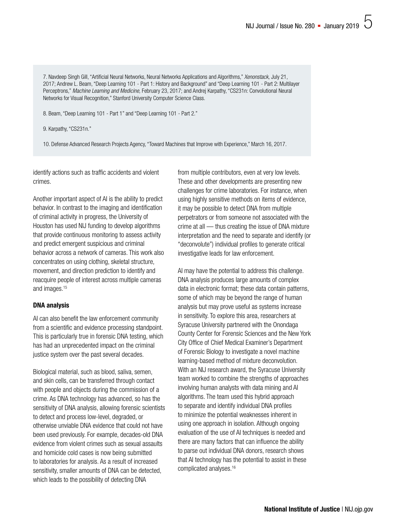7. Navdeep Singh Gill, "Artificial Neural Networks, Neural Networks Applications and Algorithms," *Xenonstack,* July 21, 2017; Andrew L. Beam, "Deep Learning 101 - Part 1: History and Background" and "Deep Learning 101 - Part 2: Multilayer Perceptrons," *Machine Learning and Medicine,* February 23, 2017; and Andrej Karpathy, "CS231n: Convolutional Neural Networks for Visual Recognition," Stanford University Computer Science Class.

8. Beam, "Deep Learning 101 - Part 1" and "Deep Learning 101 - Part 2."

9. Karpathy, "CS231n."

10. Defense Advanced Research Projects Agency, "Toward Machines that Improve with Experience," March 16, 2017.

identify actions such as traffic accidents and violent crimes.

Another important aspect of AI is the ability to predict behavior. In contrast to the imaging and identification of criminal activity in progress, the University of Houston has used NIJ funding to develop algorithms that provide continuous monitoring to assess activity and predict emergent suspicious and criminal behavior across a network of cameras. This work also concentrates on using clothing, skeletal structure, movement, and direction prediction to identify and reacquire people of interest across multiple cameras and images.15

#### DNA analysis

AI can also benefit the law enforcement community from a scientific and evidence processing standpoint. This is particularly true in forensic DNA testing, which has had an unprecedented impact on the criminal justice system over the past several decades.

Biological material, such as blood, saliva, semen, and skin cells, can be transferred through contact with people and objects during the commission of a crime. As DNA technology has advanced, so has the sensitivity of DNA analysis, allowing forensic scientists to detect and process low-level, degraded, or otherwise unviable DNA evidence that could not have been used previously. For example, decades-old DNA evidence from violent crimes such as sexual assaults and homicide cold cases is now being submitted to laboratories for analysis. As a result of increased sensitivity, smaller amounts of DNA can be detected, which leads to the possibility of detecting DNA

from multiple contributors, even at very low levels. These and other developments are presenting new challenges for crime laboratories. For instance, when using highly sensitive methods on items of evidence, it may be possible to detect DNA from multiple perpetrators or from someone not associated with the crime at all — thus creating the issue of DNA mixture interpretation and the need to separate and identify (or "deconvolute") individual profiles to generate critical investigative leads for law enforcement.

AI may have the potential to address this challenge. DNA analysis produces large amounts of complex data in electronic format; these data contain patterns, some of which may be beyond the range of human analysis but may prove useful as systems increase in sensitivity. To explore this area, researchers at Syracuse University partnered with the Onondaga County Center for Forensic Sciences and the New York City Office of Chief Medical Examiner's Department of Forensic Biology to investigate a novel machine learning-based method of mixture deconvolution. With an NIJ research award, the Syracuse University team worked to combine the strengths of approaches involving human analysts with data mining and AI algorithms. The team used this hybrid approach to separate and identify individual DNA profiles to minimize the potential weaknesses inherent in using one approach in isolation. Although ongoing evaluation of the use of AI techniques is needed and there are many factors that can influence the ability to parse out individual DNA donors, research shows that AI technology has the potential to assist in these complicated analyses.16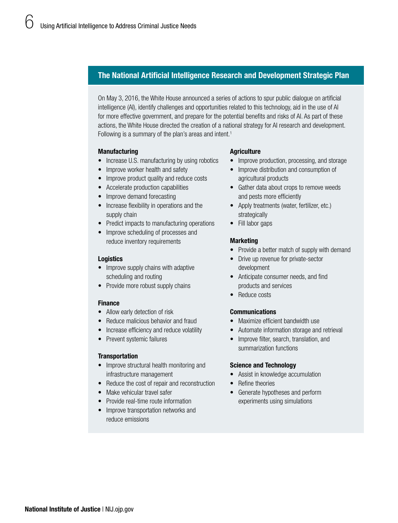# The National Artificial Intelligence Research and Development Strategic Plan

On May 3, 2016, the White House announced a series of actions to spur public dialogue on artificial intelligence (AI), identify challenges and opportunities related to this technology, aid in the use of Al for more effective government, and prepare for the potential benefits and risks of Al. As part of these actions, the White House directed the creation of a national strategy for AI research and development. Following is a summary of the plan's areas and intent.<sup>1</sup>

### Manufacturing

- Increase U.S. manufacturing by using robotics
- Improve worker health and safety
- Improve product quality and reduce costs
- Accelerate production capabilities
- Improve demand forecasting
- Increase flexibility in operations and the supply chain
- Predict impacts to manufacturing operations
- Improve scheduling of processes and reduce inventory requirements

#### **Logistics**

- Improve supply chains with adaptive scheduling and routing
- Provide more robust supply chains

# Finance

- Allow early detection of risk
- Reduce malicious behavior and fraud
- Increase efficiency and reduce volatility
- Prevent systemic failures

#### **Transportation**

- Improve structural health monitoring and infrastructure management
- Reduce the cost of repair and reconstruction
- Make vehicular travel safer
- Provide real-time route information
- Improve transportation networks and reduce emissions

### **Agriculture**

- Improve production, processing, and storage
- Improve distribution and consumption of agricultural products
- Gather data about crops to remove weeds and pests more efficiently
- Apply treatments (water, fertilizer, etc.) strategically
- Fill labor gaps

### Marketing

- Provide a better match of supply with demand
- Drive up revenue for private-sector development
- Anticipate consumer needs, and find products and services
- Reduce costs

# Communications

- Maximize efficient bandwidth use
- Automate information storage and retrieval
- Improve filter, search, translation, and summarization functions

#### Science and Technology

- Assist in knowledge accumulation
- Refine theories
- Generate hypotheses and perform experiments using simulations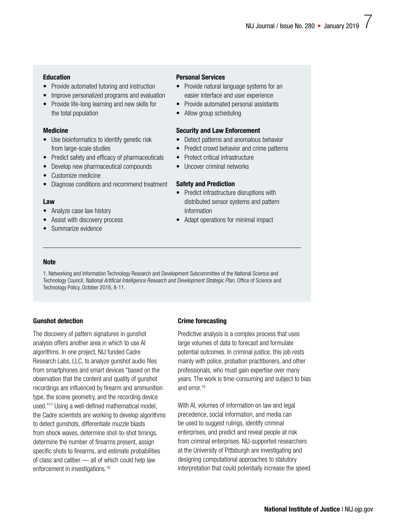## Education

- Provide automated tutoring and instruction
- Improve personalized programs and evaluation
- Provide life-long learning and new skills for the total population

## Medicine

- Use bioinformatics to identify genetic risk from large-scale studies
- Predict safety and efficacy of pharmaceuticals
- Develop new pharmaceutical compounds
- Customize medicine
- Diagnose conditions and recommend treatment

### Law

- Analyze case law history
- Assist with discovery process
- Summarize evidence

# Personal Services

- Provide natural language systems for an easier interface and user experience
- Provide automated personal assistants
- Allow group scheduling

## Security and Law Enforcement

- Detect patterns and anomalous behavior
- Predict crowd behavior and crime patterns
- Protect critical infrastructure
- Uncover criminal networks

### Safety and Prediction

- Predict infrastructure disruptions with distributed sensor systems and pattern information
- Adapt operations for minimal impact

## **Note**

1. Networking and Information Technology Research and Development Subcommittee of the National Science and Technology Council, *National Artificial Intelligence Research and Development Strategic Plan,* Office of Science and Technology Policy, October 2016, 8-11.

# Gunshot detection

The discovery of pattern signatures in gunshot analysis offers another area in which to use AI algorithms. In one project, NIJ funded Cadre Research Labs, LLC, to analyze gunshot audio files from smartphones and smart devices "based on the observation that the content and quality of gunshot recordings are influenced by firearm and ammunition type, the scene geometry, and the recording device used."17 Using a well-defined mathematical model, the Cadre scientists are working to develop algorithms to detect gunshots, differentiate muzzle blasts from shock waves, determine shot-to-shot timings, determine the number of firearms present, assign specific shots to firearms, and estimate probabilities of class and caliber — all of which could help law enforcement in investigations.<sup>18</sup>

# Crime forecasting

Predictive analysis is a complex process that uses large volumes of data to forecast and formulate potential outcomes. In criminal justice, this job rests mainly with police, probation practitioners, and other professionals, who must gain expertise over many years. The work is time-consuming and subject to bias and error<sup>19</sup>

With AI, volumes of information on law and legal precedence, social information, and media can be used to suggest rulings, identify criminal enterprises, and predict and reveal people at risk from criminal enterprises. NIJ-supported researchers at the University of Pittsburgh are investigating and designing computational approaches to statutory interpretation that could potentially increase the speed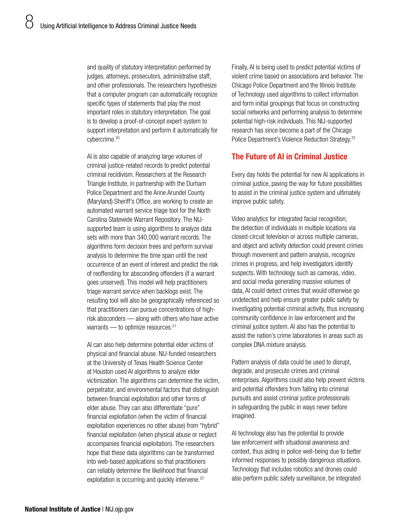and quality of statutory interpretation performed by judges, attorneys, prosecutors, administrative staff, and other professionals. The researchers hypothesize that a computer program can automatically recognize specific types of statements that play the most important roles in statutory interpretation. The goal is to develop a proof-of-concept expert system to support interpretation and perform it automatically for cybercrime.20

AI is also capable of analyzing large volumes of criminal justice-related records to predict potential criminal recidivism. Researchers at the Research Triangle Institute, in partnership with the Durham Police Department and the Anne Arundel County (Maryland) Sheriff's Office, are working to create an automated warrant service triage tool for the North Carolina Statewide Warrant Repository. The NIJsupported team is using algorithms to analyze data sets with more than 340,000 warrant records. The algorithms form decision trees and perform survival analysis to determine the time span until the next occurrence of an event of interest and predict the risk of reoffending for absconding offenders (if a warrant goes unserved). This model will help practitioners triage warrant service when backlogs exist. The resulting tool will also be geographically referenced so that practitioners can pursue concentrations of highrisk absconders — along with others who have active warrants — to optimize resources.<sup>21</sup>

AI can also help determine potential elder victims of physical and financial abuse. NIJ-funded researchers at the University of Texas Health Science Center at Houston used AI algorithms to analyze elder victimization. The algorithms can determine the victim, perpetrator, and environmental factors that distinguish between financial exploitation and other forms of elder abuse. They can also differentiate "pure" financial exploitation (when the victim of financial exploitation experiences no other abuse) from "hybrid" financial exploitation (when physical abuse or neglect accompanies financial exploitation). The researchers hope that these data algorithms can be transformed into web-based applications so that practitioners can reliably determine the likelihood that financial exploitation is occurring and quickly intervene.<sup>22</sup>

Finally, AI is being used to predict potential victims of violent crime based on associations and behavior. The Chicago Police Department and the Illinois Institute of Technology used algorithms to collect information and form initial groupings that focus on constructing social networks and performing analysis to determine potential high-risk individuals. This NIJ-supported research has since become a part of the Chicago Police Department's Violence Reduction Strategy.23

# The Future of AI in Criminal Justice

Every day holds the potential for new AI applications in criminal justice, paving the way for future possibilities to assist in the criminal justice system and ultimately improve public safety.

Video analytics for integrated facial recognition, the detection of individuals in multiple locations via closed-circuit television or across multiple cameras, and object and activity detection could prevent crimes through movement and pattern analysis, recognize crimes in progress, and help investigators identify suspects. With technology such as cameras, video, and social media generating massive volumes of data, AI could detect crimes that would otherwise go undetected and help ensure greater public safety by investigating potential criminal activity, thus increasing community confidence in law enforcement and the criminal justice system. AI also has the potential to assist the nation's crime laboratories in areas such as complex DNA mixture analysis.

Pattern analysis of data could be used to disrupt, degrade, and prosecute crimes and criminal enterprises. Algorithms could also help prevent victims and potential offenders from falling into criminal pursuits and assist criminal justice professionals in safeguarding the public in ways never before imagined.

AI technology also has the potential to provide law enforcement with situational awareness and context, thus aiding in police well-being due to better informed responses to possibly dangerous situations. Technology that includes robotics and drones could also perform public safety surveillance, be integrated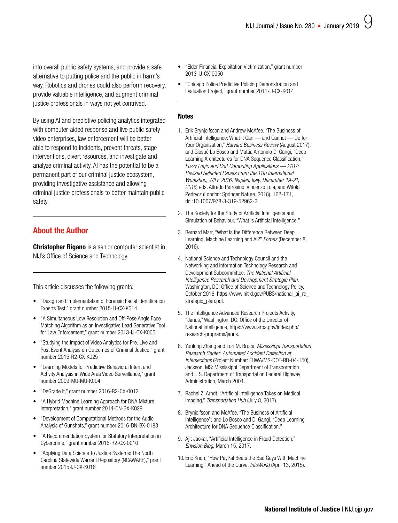into overall public safety systems, and provide a safe alternative to putting police and the public in harm's way. Robotics and drones could also perform recovery, provide valuable intelligence, and augment criminal justice professionals in ways not yet contrived.

By using AI and predictive policing analytics integrated with computer-aided response and live public safety video enterprises, law enforcement will be better able to respond to incidents, prevent threats, stage interventions, divert resources, and investigate and analyze criminal activity. AI has the potential to be a permanent part of our criminal justice ecosystem, providing investigative assistance and allowing criminal justice professionals to better maintain public safety.

# About the Author

**Christopher Rigano** is a senior computer scientist in NIJ's Office of Science and Technology.

This article discusses the following grants:

- ["Design and Implementation of Forensic Facial Identification](https://nij.gov/funding/awards/pages/award-detail.aspx?award=2015-IJ-CX-K014)  [Experts Test," grant number 2015-IJ-CX-K014](https://nij.gov/funding/awards/pages/award-detail.aspx?award=2015-IJ-CX-K014)
- ["A Simultaneous Low Resolution and Off-Pose Angle Face](https://nij.gov/funding/awards/pages/award-detail.aspx?award=2013-IJ-CX-K005)  [Matching Algorithm as an Investigative Lead Generative Tool](https://nij.gov/funding/awards/pages/award-detail.aspx?award=2013-IJ-CX-K005)  [for Law Enforcement," grant number 2013-IJ-CX-K005](https://nij.gov/funding/awards/pages/award-detail.aspx?award=2013-IJ-CX-K005)
- ["Studying the Impact of Video Analytics for Pre, Live and](https://nij.gov/funding/awards/pages/award-detail.aspx?award=2015-R2-CX-K025)  [Post Event Analysis on Outcomes of Criminal Justice," grant](https://nij.gov/funding/awards/pages/award-detail.aspx?award=2015-R2-CX-K025)  [number 2015-R2-CX-K025](https://nij.gov/funding/awards/pages/award-detail.aspx?award=2015-R2-CX-K025)
- ["Learning Models for Predictive Behavioral Intent and](https://nij.gov/funding/awards/pages/award-detail.aspx?award=2009-MU-MU-K004)  [Activity Analysis in Wide Area Video Surveillance," grant](https://nij.gov/funding/awards/pages/award-detail.aspx?award=2009-MU-MU-K004)  [number 2009-MU-MU-K004](https://nij.gov/funding/awards/pages/award-detail.aspx?award=2009-MU-MU-K004)
- ["DeGrade It," grant number 2016-R2-CX-0012](https://nij.gov/funding/awards/pages/award-detail.aspx?award=2016-R2-CX-0012)
- ["A Hybrid Machine Learning Approach for DNA Mixture](https://nij.gov/funding/awards/pages/award-detail.aspx?award=2014-DN-BX-K029)  [Interpretation," grant number 2014-DN-BX-K029](https://nij.gov/funding/awards/pages/award-detail.aspx?award=2014-DN-BX-K029)
- ["Development of Computational Methods for the Audio](https://nij.gov/funding/awards/pages/award-detail.aspx?award=2016-DN-BX-0183)  [Analysis of Gunshots," grant number 2016-DN-BX-0183](https://nij.gov/funding/awards/pages/award-detail.aspx?award=2016-DN-BX-0183)
- ["A Recommendation System for Statutory Interpretation in](https://nij.gov/funding/awards/pages/award-detail.aspx?award=2016-R2-CX-0010)  [Cybercrime," grant number 2016-R2-CX-0010](https://nij.gov/funding/awards/pages/award-detail.aspx?award=2016-R2-CX-0010)
- ["Applying Data Science To Justice Systems: The North](https://nij.gov/funding/awards/pages/award-detail.aspx?award=2015-IJ-CX-K016)  [Carolina Statewide Warrant Repository \(NCAWARE\)," grant](https://nij.gov/funding/awards/pages/award-detail.aspx?award=2015-IJ-CX-K016)  [number 2015-IJ-CX-K016](https://nij.gov/funding/awards/pages/award-detail.aspx?award=2015-IJ-CX-K016)
- ["Elder Financial Exploitation Victimization," grant number](https://nij.gov/funding/awards/pages/award-detail.aspx?award=2013-IJ-CX-0050)  [2013-IJ-CX-0050](https://nij.gov/funding/awards/pages/award-detail.aspx?award=2013-IJ-CX-0050)
- ["Chicago Police Predictive Policing Demonstration and](https://nij.gov/funding/awards/pages/award-detail.aspx?award=2011-IJ-CX-K014)  [Evaluation Project," grant number 2011-IJ-CX-K014](https://nij.gov/funding/awards/pages/award-detail.aspx?award=2011-IJ-CX-K014)

#### **Notes**

- 1. Erik Brynjolfsson and Andrew McAfee, "The Business of Artificial Intelligence: What It Can — and Cannot — Do for Your Organization," *Harvard Business Review* (August 2017); and Giosué Lo Bosco and Mattia Antonino Di Gangi, "Deep Learning Architectures for DNA Sequence Classification," *Fuzzy Logic and Soft Computing Applications — 2017: Revised Selected Papers From the 11th International Workshop, WILF 2016, Naples, Italy, December 19-21, 2016,* eds. Alfredo Petrosino, Vincenzo Loia, and Witold Pedrycz (London: Springer Nature, 2018), 162-171, doi:10.1007/978-3-319-52962-2.
- 2. The Society for the Study of Artificial Intelligence and Simulation of Behaviour, "What is Artificial Intelligence."
- 3. Bernard Marr, "What Is the Difference Between Deep Learning, Machine Learning and AI?" *Forbes* (December 8, 2016).
- 4. National Science and Technology Council and the Networking and Information Technology Research and Development Subcommittee, *The National Artificial Intelligence Research and Development Strategic Plan,* Washington, DC: Office of Science and Technology Policy, October 2016, [https://www.nitrd.gov/PUBS/national\\_ai\\_rd\\_](https://www.nitrd.gov/PUBS/national_ai_rd_strategic_plan.pdf) [strategic\\_plan.pdf.](https://www.nitrd.gov/PUBS/national_ai_rd_strategic_plan.pdf)
- 5. The Intelligence Advanced Research Projects Activity, "Janus," Washington, DC: Office of the Director of National Intelligence, [https://www.iarpa.gov/index.php/](https://www.iarpa.gov/index.php/research-programs/janus) [research-programs/janus](https://www.iarpa.gov/index.php/research-programs/janus).
- 6. Yunlong Zhang and Lori M. Bruce, *Mississippi Transportation Research Center: Automated Accident Detection at Intersections* (Project Number: FHWA/MS-DOT-RD-04-150), Jackson, MS: Mississippi Department of Transportation and U.S. Department of Transportation Federal Highway Administration, March 2004.
- 7. Rachel Z. Arndt, "Artificial Intelligence Takes on Medical Imaging," *Transportation Hub* (July 8, 2017).
- 8. Brynjolfsson and McAfee, "The Business of Artificial Intelligence"; and Lo Bosco and Di Gangi, "Deep Learning Architecture for DNA Sequence Classification."
- 9. Ajit Jaokar, "Artificial Intelligence in Fraud Detection," *Envision Blog,* March 15, 2017.
- 10. Eric Knorr, "How PayPal Beats the Bad Guys With Machine Learning," Ahead of the Curve, *InfoWorld* (April 13, 2015).